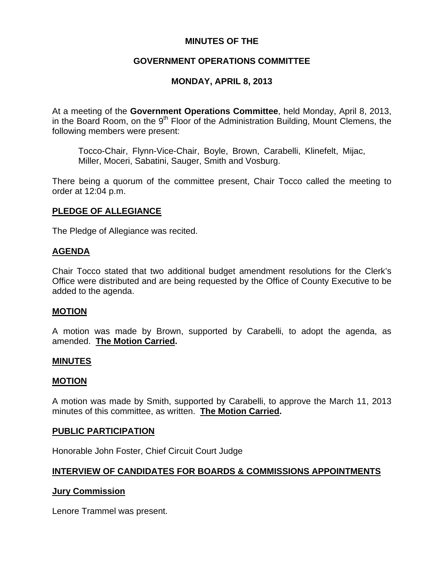## **MINUTES OF THE**

## **GOVERNMENT OPERATIONS COMMITTEE**

## **MONDAY, APRIL 8, 2013**

At a meeting of the **Government Operations Committee**, held Monday, April 8, 2013, in the Board Room, on the 9<sup>th</sup> Floor of the Administration Building, Mount Clemens, the following members were present:

Tocco-Chair, Flynn-Vice-Chair, Boyle, Brown, Carabelli, Klinefelt, Mijac, Miller, Moceri, Sabatini, Sauger, Smith and Vosburg.

There being a quorum of the committee present, Chair Tocco called the meeting to order at 12:04 p.m.

## **PLEDGE OF ALLEGIANCE**

The Pledge of Allegiance was recited.

## **AGENDA**

Chair Tocco stated that two additional budget amendment resolutions for the Clerk's Office were distributed and are being requested by the Office of County Executive to be added to the agenda.

## **MOTION**

A motion was made by Brown, supported by Carabelli, to adopt the agenda, as amended. **The Motion Carried.** 

#### **MINUTES**

#### **MOTION**

A motion was made by Smith, supported by Carabelli, to approve the March 11, 2013 minutes of this committee, as written. **The Motion Carried.** 

#### **PUBLIC PARTICIPATION**

Honorable John Foster, Chief Circuit Court Judge

## **INTERVIEW OF CANDIDATES FOR BOARDS & COMMISSIONS APPOINTMENTS**

## **Jury Commission**

Lenore Trammel was present.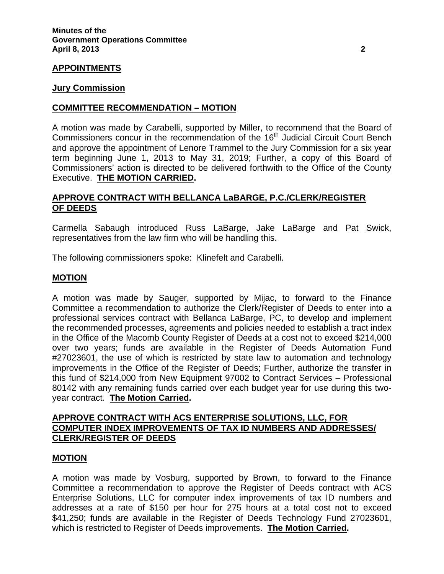## **APPOINTMENTS**

#### **Jury Commission**

### **COMMITTEE RECOMMENDATION – MOTION**

A motion was made by Carabelli, supported by Miller, to recommend that the Board of Commissioners concur in the recommendation of the 16<sup>th</sup> Judicial Circuit Court Bench and approve the appointment of Lenore Trammel to the Jury Commission for a six year term beginning June 1, 2013 to May 31, 2019; Further, a copy of this Board of Commissioners' action is directed to be delivered forthwith to the Office of the County Executive. **THE MOTION CARRIED.** 

## **APPROVE CONTRACT WITH BELLANCA LaBARGE, P.C./CLERK/REGISTER OF DEEDS**

Carmella Sabaugh introduced Russ LaBarge, Jake LaBarge and Pat Swick, representatives from the law firm who will be handling this.

The following commissioners spoke: Klinefelt and Carabelli.

#### **MOTION**

A motion was made by Sauger, supported by Mijac, to forward to the Finance Committee a recommendation to authorize the Clerk/Register of Deeds to enter into a professional services contract with Bellanca LaBarge, PC, to develop and implement the recommended processes, agreements and policies needed to establish a tract index in the Office of the Macomb County Register of Deeds at a cost not to exceed \$214,000 over two years; funds are available in the Register of Deeds Automation Fund #27023601, the use of which is restricted by state law to automation and technology improvements in the Office of the Register of Deeds; Further, authorize the transfer in this fund of \$214,000 from New Equipment 97002 to Contract Services – Professional 80142 with any remaining funds carried over each budget year for use during this twoyear contract. **The Motion Carried.** 

## **APPROVE CONTRACT WITH ACS ENTERPRISE SOLUTIONS, LLC, FOR COMPUTER INDEX IMPROVEMENTS OF TAX ID NUMBERS AND ADDRESSES/ CLERK/REGISTER OF DEEDS**

#### **MOTION**

A motion was made by Vosburg, supported by Brown, to forward to the Finance Committee a recommendation to approve the Register of Deeds contract with ACS Enterprise Solutions, LLC for computer index improvements of tax ID numbers and addresses at a rate of \$150 per hour for 275 hours at a total cost not to exceed \$41,250; funds are available in the Register of Deeds Technology Fund 27023601, which is restricted to Register of Deeds improvements. **The Motion Carried.**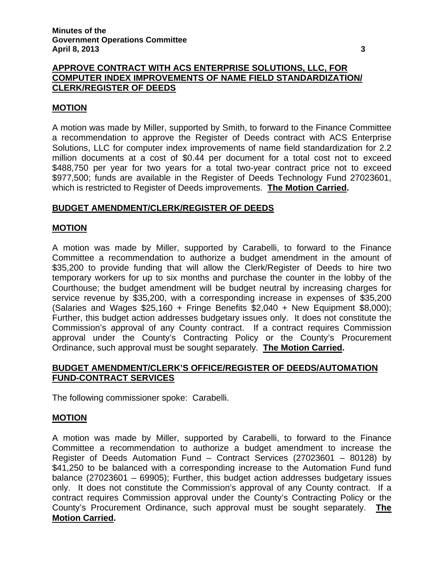## **APPROVE CONTRACT WITH ACS ENTERPRISE SOLUTIONS, LLC, FOR COMPUTER INDEX IMPROVEMENTS OF NAME FIELD STANDARDIZATION/ CLERK/REGISTER OF DEEDS**

### **MOTION**

A motion was made by Miller, supported by Smith, to forward to the Finance Committee a recommendation to approve the Register of Deeds contract with ACS Enterprise Solutions, LLC for computer index improvements of name field standardization for 2.2 million documents at a cost of \$0.44 per document for a total cost not to exceed \$488,750 per year for two years for a total two-year contract price not to exceed \$977,500; funds are available in the Register of Deeds Technology Fund 27023601, which is restricted to Register of Deeds improvements. **The Motion Carried.** 

## **BUDGET AMENDMENT/CLERK/REGISTER OF DEEDS**

#### **MOTION**

A motion was made by Miller, supported by Carabelli, to forward to the Finance Committee a recommendation to authorize a budget amendment in the amount of \$35,200 to provide funding that will allow the Clerk/Register of Deeds to hire two temporary workers for up to six months and purchase the counter in the lobby of the Courthouse; the budget amendment will be budget neutral by increasing charges for service revenue by \$35,200, with a corresponding increase in expenses of \$35,200 (Salaries and Wages \$25,160 + Fringe Benefits \$2,040 + New Equipment \$8,000); Further, this budget action addresses budgetary issues only. It does not constitute the Commission's approval of any County contract. If a contract requires Commission approval under the County's Contracting Policy or the County's Procurement Ordinance, such approval must be sought separately. **The Motion Carried.** 

## **BUDGET AMENDMENT/CLERK'S OFFICE/REGISTER OF DEEDS/AUTOMATION FUND-CONTRACT SERVICES**

The following commissioner spoke: Carabelli.

## **MOTION**

A motion was made by Miller, supported by Carabelli, to forward to the Finance Committee a recommendation to authorize a budget amendment to increase the Register of Deeds Automation Fund – Contract Services (27023601 – 80128) by \$41,250 to be balanced with a corresponding increase to the Automation Fund fund balance (27023601 – 69905); Further, this budget action addresses budgetary issues only. It does not constitute the Commission's approval of any County contract. If a contract requires Commission approval under the County's Contracting Policy or the County's Procurement Ordinance, such approval must be sought separately. **The Motion Carried.**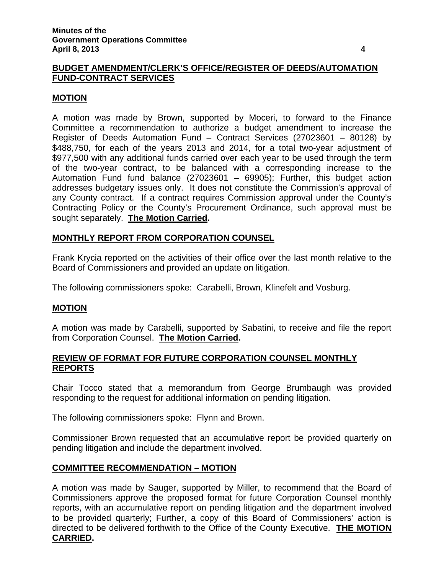## **BUDGET AMENDMENT/CLERK'S OFFICE/REGISTER OF DEEDS/AUTOMATION FUND-CONTRACT SERVICES**

## **MOTION**

A motion was made by Brown, supported by Moceri, to forward to the Finance Committee a recommendation to authorize a budget amendment to increase the Register of Deeds Automation Fund – Contract Services (27023601 – 80128) by \$488,750, for each of the years 2013 and 2014, for a total two-year adjustment of \$977,500 with any additional funds carried over each year to be used through the term of the two-year contract, to be balanced with a corresponding increase to the Automation Fund fund balance (27023601 – 69905); Further, this budget action addresses budgetary issues only. It does not constitute the Commission's approval of any County contract. If a contract requires Commission approval under the County's Contracting Policy or the County's Procurement Ordinance, such approval must be sought separately. **The Motion Carried.** 

## **MONTHLY REPORT FROM CORPORATION COUNSEL**

Frank Krycia reported on the activities of their office over the last month relative to the Board of Commissioners and provided an update on litigation.

The following commissioners spoke: Carabelli, Brown, Klinefelt and Vosburg.

## **MOTION**

A motion was made by Carabelli, supported by Sabatini, to receive and file the report from Corporation Counsel. **The Motion Carried.** 

## **REVIEW OF FORMAT FOR FUTURE CORPORATION COUNSEL MONTHLY REPORTS**

Chair Tocco stated that a memorandum from George Brumbaugh was provided responding to the request for additional information on pending litigation.

The following commissioners spoke: Flynn and Brown.

Commissioner Brown requested that an accumulative report be provided quarterly on pending litigation and include the department involved.

## **COMMITTEE RECOMMENDATION – MOTION**

A motion was made by Sauger, supported by Miller, to recommend that the Board of Commissioners approve the proposed format for future Corporation Counsel monthly reports, with an accumulative report on pending litigation and the department involved to be provided quarterly; Further, a copy of this Board of Commissioners' action is directed to be delivered forthwith to the Office of the County Executive. **THE MOTION CARRIED.**